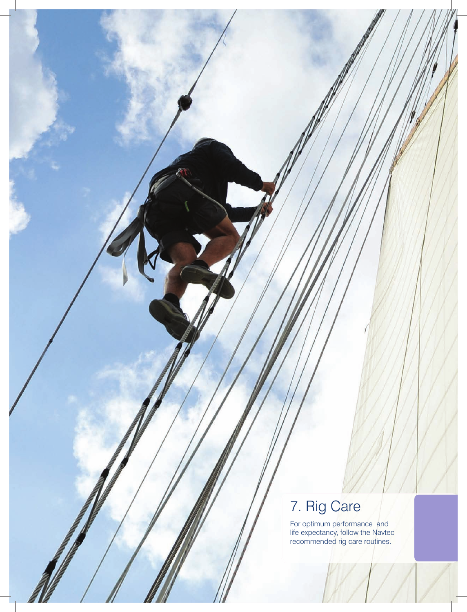# 7. Rig Care

For optimum performance and life expectancy, follow the Navtec recommended rig care routines.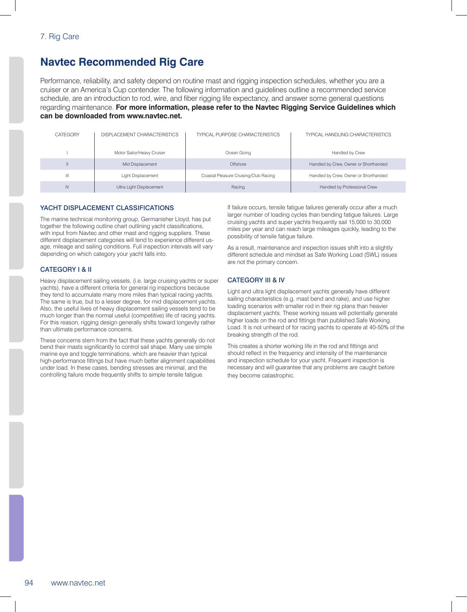# **Navtec Recommended Rig Care**

Performance, reliability, and safety depend on routine mast and rigging inspection schedules, whether you are a cruiser or an America's Cup contender. The following information and guidelines outline a recommended service schedule, are an introduction to rod, wire, and fiber rigging life expectancy, and answer some general questions regarding maintenance. **For more information, please refer to the Navtec Rigging Service Guidelines which can be downloaded from www.navtec.net.**

| CATEGORY      | <b>DISPLACEMENT CHARACTERISTICS</b> | <b>TYPICAL PURPOSE CHARACTERISTICS</b> | TYPICAL HANDLING CHARACTERISTICS      |
|---------------|-------------------------------------|----------------------------------------|---------------------------------------|
|               | Motor Sailor/Heavy Cruiser          | Ocean Going                            | Handled by Crew                       |
|               | Mid Displacement                    | Offshore                               | Handled by Crew, Owner or Shorthanded |
| Ш             | Light Displacement                  | Coastal Pleasure Cruising/Club Racing  | Handled by Crew, Owner or Shorthanded |
| $\mathsf{IV}$ | Ultra Light Displacement            | Racing                                 | Handled by Professional Crew          |

# YACHT DISPLACEMENT CLASSIFICATIONS

The marine technical monitoring group, Germanisher Lloyd, has put together the following outline chart outlining yacht classifications, with input from Navtec and other mast and rigging suppliers. These different displacement categories will tend to experience different usage, mileage and sailing conditions. Full inspection intervals will vary depending on which category your yacht falls into.

# CATEGORY I & II

Heavy displacement sailing vessels, (i.e. large cruising yachts or super yachts), have a different criteria for general rig inspections because they tend to accumulate many more miles than typical racing yachts. The same is true, but to a lesser degree, for mid displacement yachts. Also, the useful lives of heavy displacement sailing vessels tend to be much longer than the normal useful (competitive) life of racing yachts. For this reason, rigging design generally shifts toward longevity rather than ultimate performance concerns.

These concerns stem from the fact that these yachts generally do not bend their masts significantly to control sail shape. Many use simple marine eye and toggle terminations, which are heavier than typical high-performance fittings but have much better alignment capabilities under load. In these cases, bending stresses are minimal, and the controlling failure mode frequently shifts to simple tensile fatigue.

If failure occurs, tensile fatigue failures generally occur after a much larger number of loading cycles than bending fatigue failures. Large cruising yachts and super yachts frequently sail 15,000 to 30,000 miles per year and can reach large mileages quickly, leading to the possibility of tensile fatigue failure.

As a result, maintenance and inspection issues shift into a slightly different schedule and mindset as Safe Working Load (SWL) issues are not the primary concern.

# CATEGORY III & IV

Light and ultra light displacement yachts generally have different sailing characteristics (e.g. mast bend and rake), and use higher loading scenarios with smaller rod in their rig plans than heavier displacement yachts. These working issues will potentially generate higher loads on the rod and fittings than published Safe Working Load. It is not unheard of for racing yachts to operate at 40-50% of the breaking strength of the rod.

This creates a shorter working life in the rod and fittings and should reflect in the frequency and intensity of the maintenance and inspection schedule for your yacht. Frequent inspection is necessary and will guarantee that any problems are caught before they become catastrophic.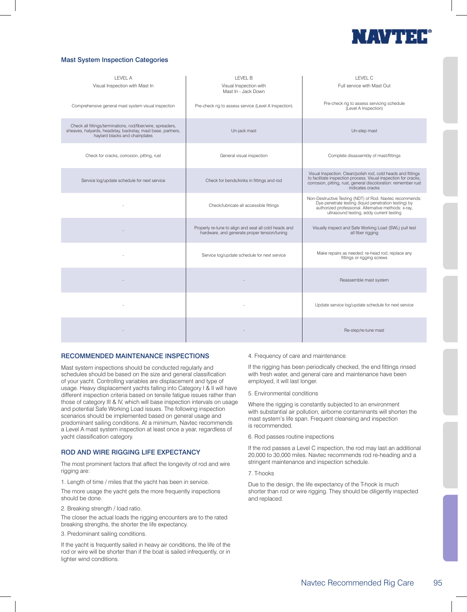

#### Mast System Inspection Categories

| <b>LEVEL A</b>                                                                                                                                               | <b>LEVEL B</b>                                                                                        | <b>LEVEL C</b>                                                                                                                                                                                                        |
|--------------------------------------------------------------------------------------------------------------------------------------------------------------|-------------------------------------------------------------------------------------------------------|-----------------------------------------------------------------------------------------------------------------------------------------------------------------------------------------------------------------------|
| Visual Inspection with Mast In                                                                                                                               | Visual Inspection with<br>Mast In - Jack Down                                                         | Full service with Mast Out                                                                                                                                                                                            |
| Comprehensive general mast system visual inspection                                                                                                          | Pre-check rig to assess service (Level A Inspection)                                                  | Pre-check rig to assess servicing schedule<br>(Level A Inspection)                                                                                                                                                    |
| Check all fittings/terminations, rod/fiber/wire, spreaders,<br>sheaves, halyards, headstay, backstay, mast base, partners,<br>haylard blacks and chainplates | Un-jack mast                                                                                          | Un-step mast                                                                                                                                                                                                          |
| Check for cracks, corrosion, pitting, rust                                                                                                                   | General visual inspection                                                                             | Complete disassembly of mast/fittings                                                                                                                                                                                 |
| Service log/update schedule for next service                                                                                                                 | Check for bends/kinks in fittings and rod                                                             | Visual Inspection. Clean/polish rod, cold heads and fittings<br>to facilitate inspection process. Visual inspection for cracks,<br>corrosion, pitting, rust, general discoloration: remember rust<br>indicates cracks |
|                                                                                                                                                              | Check/lubricate all accessible fittings                                                               | Non-Destructive Testing (NDT) of Rod. Navtec recommends:<br>Dye penetrate testing (liquid penetration testing) by<br>authorized professional. Alternative methods: x-ray,<br>ultrasound testing, eddy current testing |
|                                                                                                                                                              | Properly re-tune to align and seat all cold heads and<br>hardware, and generate proper tension/tuning | Visually inspect and Safe Working Load (SWL) pull test<br>all fiber rigging                                                                                                                                           |
|                                                                                                                                                              | Service log/update schedule for next service                                                          | Make repairs as needed: re-head rod, replace any<br>fittings or rigging screws                                                                                                                                        |
|                                                                                                                                                              |                                                                                                       | Reassemble mast system                                                                                                                                                                                                |
|                                                                                                                                                              |                                                                                                       | Update service log/update schedule for next service                                                                                                                                                                   |
|                                                                                                                                                              |                                                                                                       | Re-step/re-tune mast                                                                                                                                                                                                  |

#### RECOMMENDED MAINTENANCE INSPECTIONS

Mast system inspections should be conducted regularly and schedules should be based on the size and general classification of your yacht. Controlling variables are displacement and type of usage. Heavy displacement yachts falling into Category I & II will have different inspection criteria based on tensile fatigue issues rather than those of category III & IV, which will base inspection intervals on usage and potential Safe Working Load issues. The following inspection scenarios should be implemented based on general usage and predominant sailing conditions. At a minimum, Navtec recommends a Level A mast system inspection at least once a year, regardless of yacht classification category.

#### ROD AND WIRE RIGGING LIFE EXPECTANCY

The most prominent factors that affect the longevity of rod and wire rigging are:

1. Length of time / miles that the yacht has been in service.

The more usage the yacht gets the more frequently inspections should be done.

2. Breaking strength / load ratio.

The closer the actual loads the rigging encounters are to the rated breaking strengths, the shorter the life expectancy.

3. Predominant sailing conditions.

If the yacht is frequently sailed in heavy air conditions, the life of the rod or wire will be shorter than if the boat is sailed infrequently, or in lighter wind conditions.

4. Frequency of care and maintenance

If the rigging has been periodically checked, the end fittings rinsed with fresh water, and general care and maintenance have been employed, it will last longer.

5. Environmental conditions

Where the rigging is constantly subjected to an environment with substantial air pollution, airborne contaminants will shorten the mast system's life span. Frequent cleansing and inspection is recommended.

6. Rod passes routine inspections

If the rod passes a Level C inspection, the rod may last an additional 20,000 to 30,000 miles. Navtec recommends rod re-heading and a stringent maintenance and inspection schedule.

7. T-hooks

Due to the design, the life expectancy of the T-hook is much shorter than rod or wire rigging. They should be diligently inspected and replaced.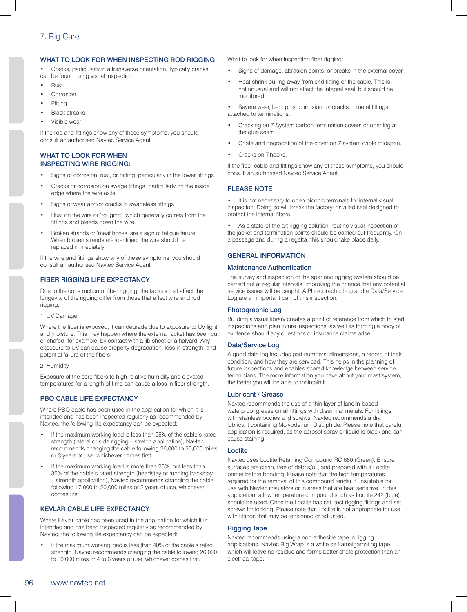# WHAT TO LOOK FOR WHEN INSPECTING ROD RIGGING:

• Cracks, particularly in a transverse orientation. Typically cracks can be found using visual inspection.

- Rust
- **Corrosion**
- **Pitting**
- Black streaks
- Visible wear

If the rod and fittings show any of these symptoms, you should consult an authorised Navtec Service Agent.

#### WHAT TO LOOK FOR WHEN INSPECTING WIRE RIGGING:

- Signs of corrosion, rust, or pitting, particularly in the lower fittings.
- Cracks or corrosion on swage fittings, particularly on the inside edge where the wire exits.
- Signs of wear and/or cracks in swageless fittings.
- Rust on the wire or 'rouging', which generally comes from the fittings and bleeds down the wire.
- Broken strands or 'meat hooks' are a sign of fatigue failure When broken strands are identified, the wire should be replaced immediately.

If the wire and fittings show any of these symptoms, you should consult an authorised Navtec Service Agent.

#### FIBER RIGGING LIFE EXPECTANCY

Due to the construction of fiber rigging, the factors that affect the longevity of the rigging differ from those that affect wire and rod rigging.

1. UV Damage

Where the fiber is exposed, it can degrade due to exposure to UV light and moisture. This may happen where the external jacket has been cut or chafed, for example, by contact with a jib sheet or a halyard. Any exposure to UV can cause property degradation, loss in strength, and potential failure of the fibers.

2. Humidity

Exposure of the core fibers to high relative humidity and elevated temperatures for a length of time can cause a loss in fiber strength.

# PBO CABLE LIFE EXPECTANCY

Where PBO cable has been used in the application for which it is intended and has been inspected regularly as recommended by Navtec, the following life expectancy can be expected:

- If the maximum working load is less than 25% of the cable's rated strength (lateral or side rigging – stretch application), Navtec recommends changing the cable following 26,000 to 30,000 miles or 3 years of use, whichever comes first.
- If the maximum working load is more than 25%, but less than 35% of the cable's rated strength (headstay or running backstay – strength application), Navtec recommends changing the cable following 17,000 to 20,000 miles or 2 years of use, whichever comes first.

#### KEVLAR CABLE LIFE EXPECTANCY

Where Kevlar cable has been used in the application for which it is intended and has been inspected regularly as recommended by Navtec, the following life expectancy can be expected:

If the maximum working load is less than 40% of the cable's rated strength, Navtec recommends changing the cable following 26,000 to 30,000 miles or 4 to 6 years of use, whichever comes first.

What to look for when inspecting fiber rigging:

- Signs of damage, abrasion points, or breaks in the external cover
- Heat shrink pulling away from end fitting or the cable. This is not unusual and will not affect the integral seal, but should be monitored.

Severe wear, bent pins, corrosion, or cracks in metal fittings attached to terminations.

- Cracking on Z-System carbon termination covers or opening at the glue seam.
- Chafe and degradation of the cover on Z-system cable midspan.
- Cracks on T-hooks.

If the fiber cable and fittings show any of these symptoms, you should consult an authorised Navtec Service Agent.

# PLEASE NOTE

It is not necessary to open biconic terminals for internal visual inspection. Doing so will break the factory-installed seal designed to protect the internal fibers.

As a state-of-the art rigging solution, routine visual inspection of the jacket and termination points should be carried out frequently. On a passage and during a regatta, this should take place daily.

#### GENERAL INFORMATION

#### Maintenance Authentication

The survey and inspection of the spar and rigging system should be carried out at regular intervals, improving the chance that any potential service issues will be caught. A Photographic Log and a Data/Service Log are an important part of this inspection.

#### Photographic Log

Building a visual library creates a point of reference from which to start inspections and plan future inspections, as well as forming a body of evidence should any questions or insurance claims arise.

#### Data/Service Log

A good data log includes part numbers, dimensions, a record of their condition, and how they are serviced. This helps in the planning of future inspections and enables shared knowledge between service technicians. The more information you have about your mast system, the better you will be able to maintain it.

#### Lubricant / Grease

Navtec recommends the use of a thin layer of lanolin-based waterproof grease on all fittings with dissimilar metals. For fittings with stainless bodies and screws, Navtec recommends a dry lubricant containing Molybdenum Disulphide. Please note that careful application is required, as the aerosol spray or liquid is black and can cause staining.

#### **Loctite**

Navtec uses Loctite Retaining Compound RC 680 (Green). Ensure surfaces are clean, free of debris/oil, and prepared with a Loctite primer before bonding. Please note that the high temperatures required for the removal of this compound render it unsuitable for use with Navtec insulators or in areas that are heat sensitive. In this application, a low temperature compound such as Loctite 242 (blue) should be used. Once the Loctite has set, test rigging fittings and set screws for locking. Please note that Loctite is not appropriate for use with fittings that may be tensioned or adjusted.

#### Rigging Tape

Navtec recommends using a non-adhesive tape in rigging applications. Navtec Rig Wrap is a white self-amalgamating tape which will leave no residue and forms better chafe protection than an electrical tape.